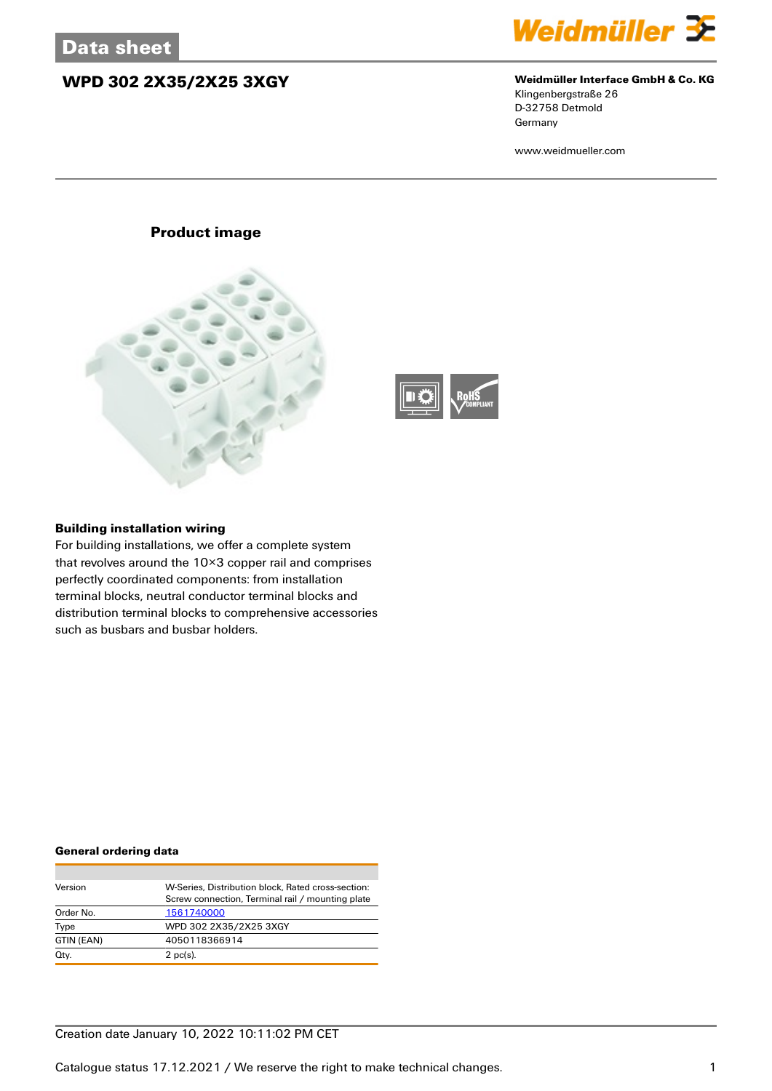## **WPD 302 2X35/2X25 3XGY Weidmüller Interface GmbH & Co. KG**



Klingenbergstraße 26 D-32758 Detmold Germany

www.weidmueller.com

## **Product image**





## **Building installation wiring**

For building installations, we offer a complete system that revolves around the 10×3 copper rail and comprises perfectly coordinated components: from installation terminal blocks, neutral conductor terminal blocks and distribution terminal blocks to comprehensive accessories such as busbars and busbar holders.

### **General ordering data**

| Version    | W-Series. Distribution block. Rated cross-section: |
|------------|----------------------------------------------------|
|            | Screw connection, Terminal rail / mounting plate   |
| Order No.  | 1561740000                                         |
| Type       | WPD 302 2X35/2X25 3XGY                             |
| GTIN (EAN) | 4050118366914                                      |
| Qty.       | $2$ pc(s).                                         |

## Creation date January 10, 2022 10:11:02 PM CET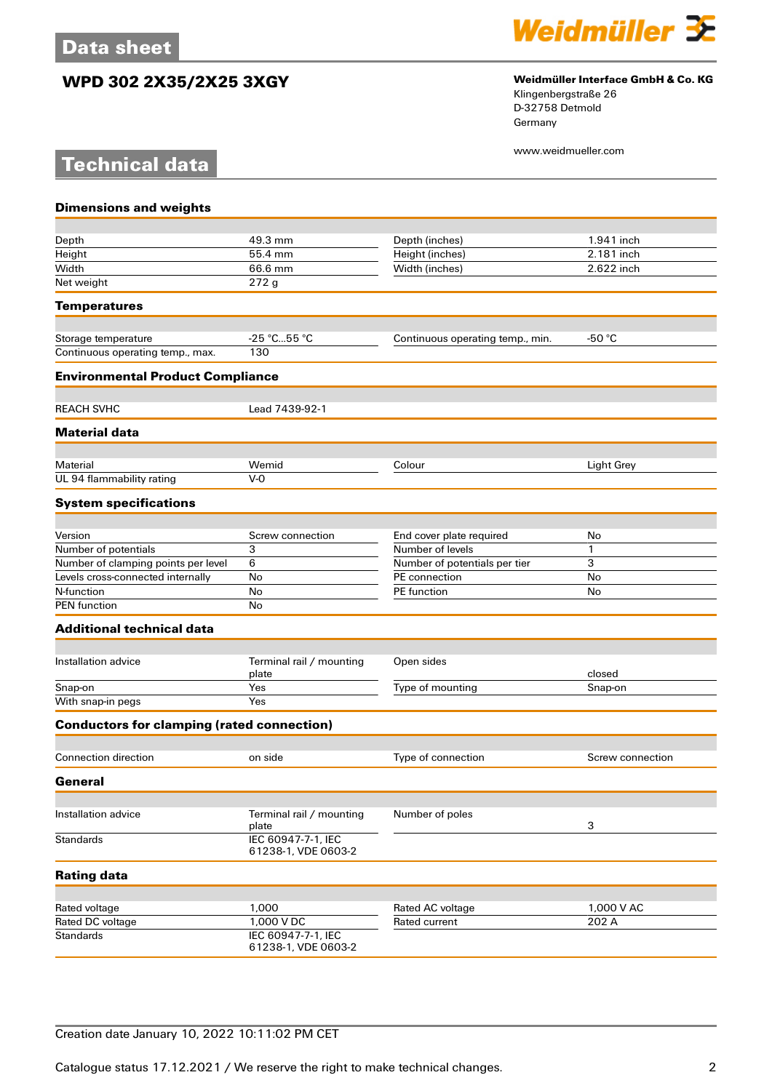**Technical data**

## **WPD 302 2X35/2X25 3XGY Weidmüller Interface GmbH & Co. KG**



Klingenbergstraße 26 D-32758 Detmold Germany

www.weidmueller.com

# **Dimensions and weights** Depth 1.941 inches 1.941 inches 1.941 inches 1.941 inches 1.941 inches 1.941 inch Height 55.4 mm Height (inches) 2.181 inch Width 66.6 mm Width (inches) 2.622 inch Net weight 272 g **Temperatures** Storage temperature  $-25 \degree C...55 \degree C$  Continuous operating temp., min.  $-50 \degree C$ Continuous operating temp., max. 130 **Environmental Product Compliance** REACH SVHC<br>
Lead 7439-92-1 **Material data** Material Wemid Colour Light Grey UL 94 flammability rating V-0 **System specifications** Version Screw connection End cover plate required No<br>
Number of potentials 3<br>
Number of levels Number of potentials and the set of potentials and the Number of levels and the Number of clamping points per level by the 1 Number of potentials per tier and 3 Number of potentials per tier 3 3 Number of clamping points per level 6 Levels cross-connected internally No PE connection No N-function No No Refunction No No Refunction PE function No No Refunction No No Refunction No No No Refunction No  $\sim$  No Refunction No Refunction No  $\sim$  No Refunction No Refunction No Refunction No Refunction No Refuncti PEN function No **Additional technical data** Installation advice Terminal rail / mounting plate<br>Yes Open sides closed Snap-on Yes Yes Type of mounting Snap-on Snap-on Yes Type of mounting Snap-on Snap-on  $W$ ith snap-in pegs **Conductors for clamping (rated connection)** Connection direction on side Type of connection Screw connection **General** Installation advice Terminal rail / mounting plate Number of poles 3 Standards IEC 60947-7-1, IEC 61238-1, VDE 0603-2 **Rating data** Rated voltage **1,000** 1,000 Rated AC voltage 1,000 V AC Rated DC voltage 1,000 V DC Rated current 202 A<br>
Standards IEC 60947-7-1. IEC **IEC 60947-7-1, IEC** 61238-1, VDE 0603-2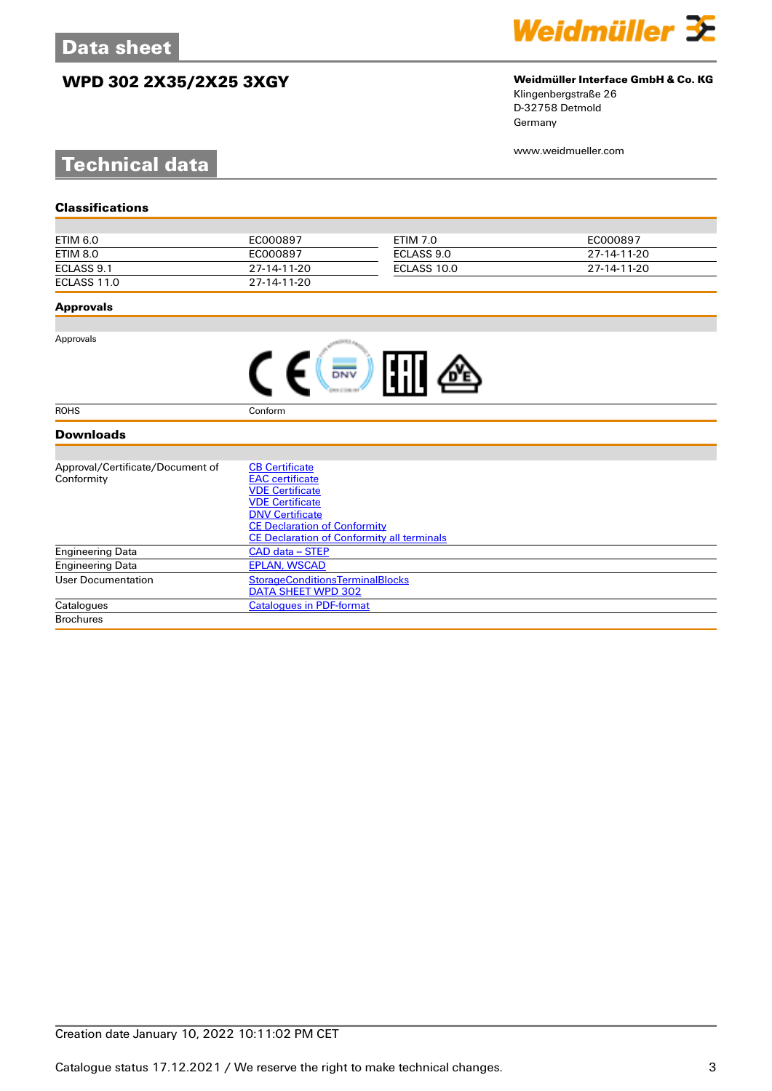# **WPD 302 2X35/2X25 3XGY Weidmüller Interface GmbH & Co. KG**



Klingenbergstraße 26 D-32758 Detmold Germany

www.weidmueller.com

# **Technical data**

| ETIM 6.0    | EC000897    | ETIM 7.0    | EC000897    |
|-------------|-------------|-------------|-------------|
| ETIM 8.0    | EC000897    | ECLASS 9.0  | 27-14-11-20 |
| ECLASS 9.1  | 27-14-11-20 | ECLASS 10.0 | 27-14-11-20 |
| ECLASS 11.0 | 27-14-11-20 |             |             |

## **Approvals**

Approvals

| <b>FAT</b> |  |
|------------|--|
|------------|--|

ROHS Conform

## **Downloads**

| Approval/Certificate/Document of | <b>CB Certificate</b>                             |
|----------------------------------|---------------------------------------------------|
| Conformity                       | <b>EAC</b> certificate                            |
|                                  | <b>VDE Certificate</b>                            |
|                                  | <b>VDE Certificate</b>                            |
|                                  | <b>DNV Certificate</b>                            |
|                                  | <b>CE Declaration of Conformity</b>               |
|                                  | <b>CE Declaration of Conformity all terminals</b> |
| <b>Engineering Data</b>          | CAD data – STEP                                   |
| Engineering Data                 | <b>EPLAN, WSCAD</b>                               |
| User Documentation               | <b>StorageConditionsTerminalBlocks</b>            |
|                                  | DATA SHEET WPD 302                                |
| Catalogues                       | <b>Catalogues in PDF-format</b>                   |
| <b>Brochures</b>                 |                                                   |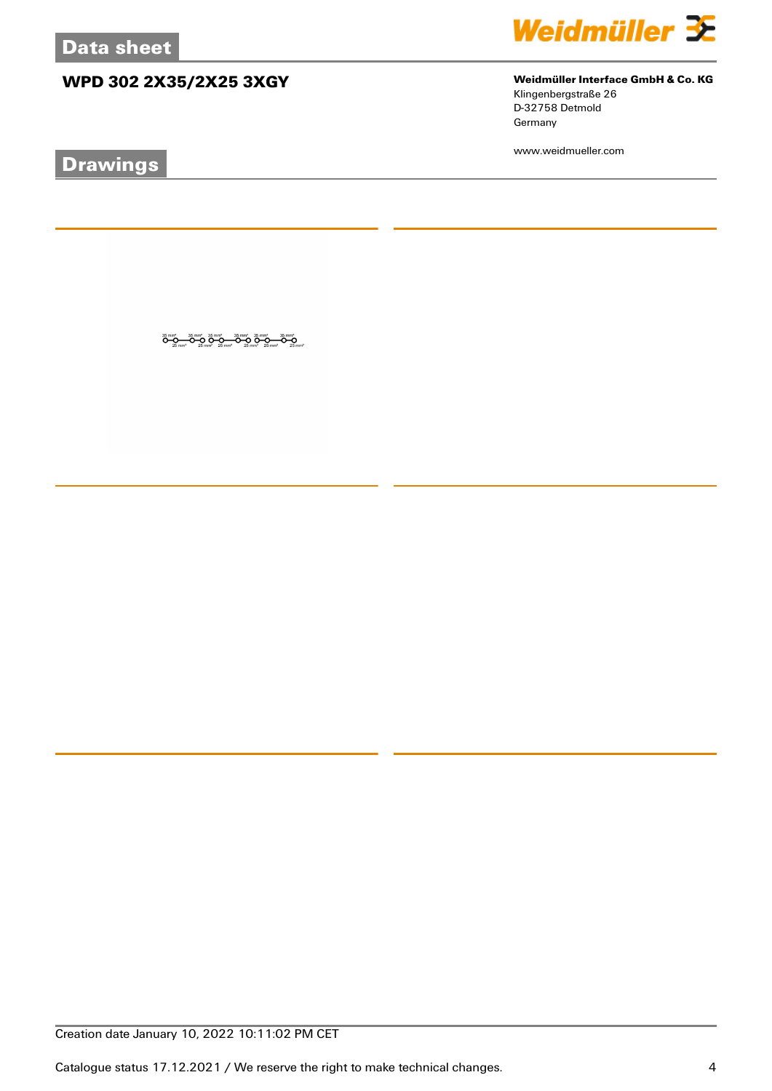# **WPD 302 2X35/2X25 3XGY Weidmüller Interface GmbH & Co. KG**



Klingenbergstraße 26 D-32758 Detmold

Germany

www.weidmueller.com

# **Drawings**

 $\overset{35\,mm^3}{\bullet}\overset{95\,mm^3}{\bullet}\overset{35\,mm^3}{\bullet}\overset{35\,mm^3}{\bullet}\overset{35\,mm^3}{\bullet}\overset{35\,mm^3}{\bullet}\overset{35\,mm^3}{\bullet}\overset{35\,mm^3}{\bullet}\overset{35\,mm^3}{\bullet}\overset{35\,mm^3}{\bullet}\overset{35\,mm^3}{\bullet}\overset{35\,mm^3}{\bullet}\overset{35\,mm^3}{\bullet}\overset{35\,mm^3}{\bullet}\overset{35\,mm^3}{\bullet}\overset{35\,mm^$ 

Creation date January 10, 2022 10:11:02 PM CET

Catalogue status 17.12.2021 / We reserve the right to make technical changes. 4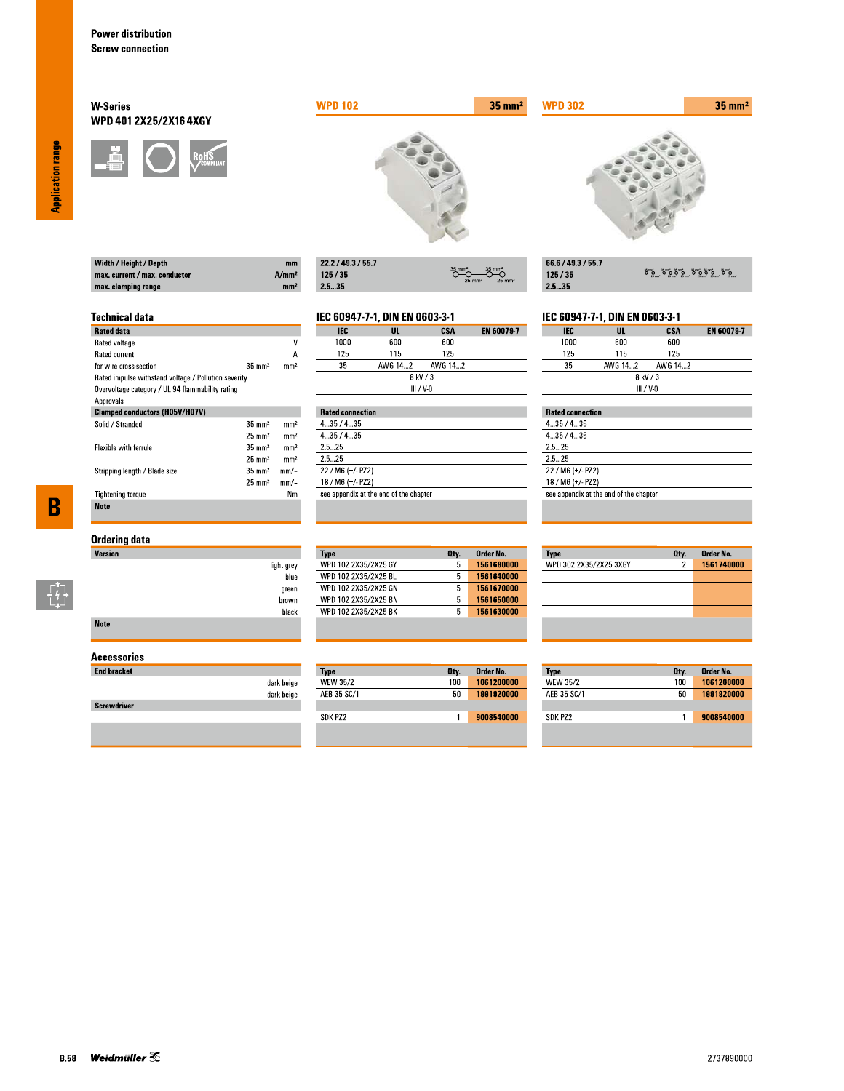Width / Height / Depth max. current / max. conductor

max. clamping range

**Technical data** 

for wire cross-section

Rated data Rated voltage

Rated current

Approvals

Solid / Stranded

Flexible with ferrule

**Tightening torque** 

**Note** 

Stripping length / Blade size

## **W-Series** WPD 401 2X25/2X16 4XGY



Rated impulse withstand voltage / Pollution severity Overvoltage category / UL 94 flammability rating

**Clamped conductors (H05V/H07V)** 



| 22.2 / 49.3 / 55.7 |                                                                   |
|--------------------|-------------------------------------------------------------------|
| 125/35             | $35$ mm <sup>2</sup><br>$25 \text{ mm}^2$<br>$25$ mm <sup>2</sup> |
| -- --              |                                                                   |

# IEC 60947-7-1, DIN EN 0603-3-1

 $A/mm<sup>2</sup>$ 

mm<sup>2</sup>

 $\overline{\mathsf{v}}$ 

 $\overline{A}$ 

 $mm<sup>2</sup>$ 

 $\rm mm^2$ 

 $\mathrm{mm}^2$ 

 $mm<sup>2</sup>$ 

 $mm<sup>2</sup>$ 

 $mm/-$ 

 $mm/-$ 

 $Nm$ 

 $35 \text{ mm}^2$ 

 $35\;\mathrm{mm}^2$ 

 $25\;\mathrm{mm}^2$ 

 $35\;\mathrm{mm}^2$ 

 $25 \text{ mm}^2$ 

 $35 \text{ mm}^2$ 

 $25 \text{ mm}^2$ 

| IEC  | UL      | CSA       | <b>EN 60079-7</b> |
|------|---------|-----------|-------------------|
| 1000 | 600     | 600       |                   |
| 125  | 115     | 125       |                   |
| 35   | AWG 142 | AWG 142   |                   |
|      |         | 8 kV / 3  |                   |
|      |         | III / V-N |                   |

|         | <b>Rated connection</b>                |  |  |  |
|---------|----------------------------------------|--|--|--|
| 435/435 |                                        |  |  |  |
| 435/435 |                                        |  |  |  |
| 25 25   |                                        |  |  |  |
| 25 25   |                                        |  |  |  |
|         | 22 / M6 (+/- PZ2)                      |  |  |  |
|         | 18 / M6 (+/- PZ2)                      |  |  |  |
|         | see appendix at the end of the chapter |  |  |  |

 $35 \text{ mm}^2$ 

| 66.6 / 49.3 / 55.7 |                       |
|--------------------|-----------------------|
| 125/35             | <u>ۄٷ؎ٷۄٷ؎ۣٷۄٷ؎</u> ٷ |
| 25.35              |                       |

## IEC 60947-7-1, DIN EN 0603-3-1

| <b>IEC</b>  | UL      | CSA     | <b>EN 60079-7</b> |
|-------------|---------|---------|-------------------|
| 1000        | 600     | 600     |                   |
| 125         | 115     | 125     |                   |
| 35          | AWG 142 | AWG 142 |                   |
|             |         |         |                   |
| $III / V-0$ |         |         |                   |

## **Rated connection**

**WPD 302** 

| 4.35/4.35                              |  |
|----------------------------------------|--|
| 435/435                                |  |
| 2.5 25                                 |  |
| 25 25                                  |  |
| $22 / M6 (+/- PZ2)$                    |  |
| 18 / M6 (+/- PZ2)                      |  |
| see appendix at the end of the chapter |  |
|                                        |  |

# $\overline{\mathbf{B}}$

 $\begin{bmatrix} 7 \\ 4 \\ 1 \end{bmatrix}$ 

# **Ordering data**

| Version     |            |
|-------------|------------|
|             | light grey |
|             | blue       |
|             | green      |
|             | brown      |
|             | black      |
| <b>Note</b> |            |

## **Accessories**

| <b>End bracket</b> |            |
|--------------------|------------|
|                    | dark beige |
|                    | dark beige |
| <b>Screwdriver</b> |            |
|                    |            |

### Order No. **Type** Oty. WPD 102 2X35/2X25 GY 1561680000  $5<sup>7</sup>$ 1561640000 WPD 102 2X35/2X25 BL  $5$ WPD 102 2X35/2X25 GN  $5<sub>1</sub>$ 1561670000 WPD 102 2X35/2X25 BN  $5 - 1561650000$ WPD 102 2X35/2X25 BK  $5<sup>7</sup>$ 1561630000

| Type        | Oty. | Order No.  |
|-------------|------|------------|
| WEW 35/2    | 100  | 1061200000 |
| AEB 35 SC/1 | 50   | 1991920000 |
|             |      |            |
| SDK PZ2     |      | 9008540000 |

| <b>Type</b>            | Qty. | Order No.  |
|------------------------|------|------------|
| WPD 302 2X35/2X25 3XGY | 2    | 1561740000 |
|                        |      |            |
|                        |      |            |
|                        |      |            |
|                        |      |            |
|                        |      |            |
|                        |      |            |

| Type            | Qty. | Order No.  |
|-----------------|------|------------|
| <b>WEW 35/2</b> | 100  | 1061200000 |
| AFB 35 SC/1     | 50   | 1991920000 |
|                 |      |            |
| SDK P72         |      | 9008540000 |

**Application range**